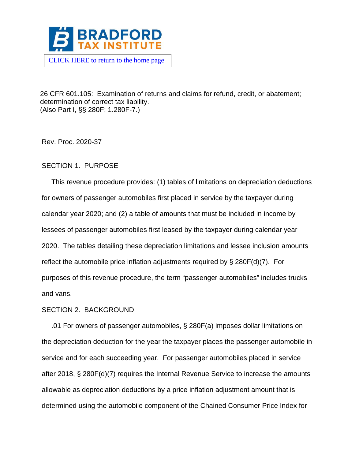

26 CFR 601.105: Examination of returns and claims for refund, credit, or abatement; determination of correct tax liability. (Also Part I, §§ 280F; 1.280F-7.)

Rev. Proc. 2020-37

## SECTION 1. PURPOSE

 This revenue procedure provides: (1) tables of limitations on depreciation deductions for owners of passenger automobiles first placed in service by the taxpayer during calendar year 2020; and (2) a table of amounts that must be included in income by lessees of passenger automobiles first leased by the taxpayer during calendar year 2020. The tables detailing these depreciation limitations and lessee inclusion amounts reflect the automobile price inflation adjustments required by § 280F(d)(7). For purposes of this revenue procedure, the term "passenger automobiles" includes trucks and vans.

### SECTION 2. BACKGROUND

 .01 For owners of passenger automobiles, § 280F(a) imposes dollar limitations on the depreciation deduction for the year the taxpayer places the passenger automobile in service and for each succeeding year. For passenger automobiles placed in service after 2018, § 280F(d)(7) requires the Internal Revenue Service to increase the amounts allowable as depreciation deductions by a price inflation adjustment amount that is determined using the automobile component of the Chained Consumer Price Index for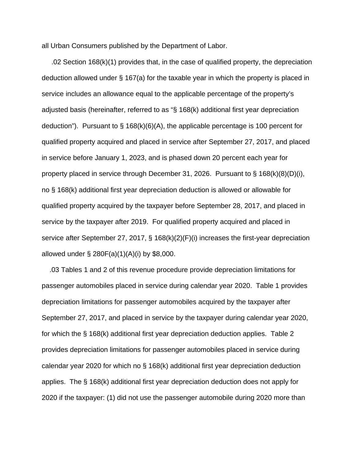all Urban Consumers published by the Department of Labor.

 .02 Section 168(k)(1) provides that, in the case of qualified property, the depreciation deduction allowed under § 167(a) for the taxable year in which the property is placed in service includes an allowance equal to the applicable percentage of the property's adjusted basis (hereinafter, referred to as "§ 168(k) additional first year depreciation deduction"). Pursuant to  $\S$  168(k)(6)(A), the applicable percentage is 100 percent for qualified property acquired and placed in service after September 27, 2017, and placed in service before January 1, 2023, and is phased down 20 percent each year for property placed in service through December 31, 2026. Pursuant to § 168(k)(8)(D)(i), no § 168(k) additional first year depreciation deduction is allowed or allowable for qualified property acquired by the taxpayer before September 28, 2017, and placed in service by the taxpayer after 2019. For qualified property acquired and placed in service after September 27, 2017, § 168(k)(2)(F)(i) increases the first-year depreciation allowed under  $\S 280F(a)(1)(A)(i)$  by \$8,000.

 .03 Tables 1 and 2 of this revenue procedure provide depreciation limitations for passenger automobiles placed in service during calendar year 2020. Table 1 provides depreciation limitations for passenger automobiles acquired by the taxpayer after September 27, 2017, and placed in service by the taxpayer during calendar year 2020, for which the § 168(k) additional first year depreciation deduction applies. Table 2 provides depreciation limitations for passenger automobiles placed in service during calendar year 2020 for which no § 168(k) additional first year depreciation deduction applies. The § 168(k) additional first year depreciation deduction does not apply for 2020 if the taxpayer: (1) did not use the passenger automobile during 2020 more than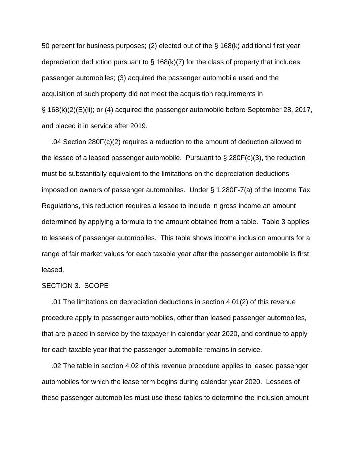50 percent for business purposes; (2) elected out of the § 168(k) additional first year depreciation deduction pursuant to  $\S$  168(k)(7) for the class of property that includes passenger automobiles; (3) acquired the passenger automobile used and the acquisition of such property did not meet the acquisition requirements in § 168(k)(2)(E)(ii); or (4) acquired the passenger automobile before September 28, 2017, and placed it in service after 2019.

 .04 Section 280F(c)(2) requires a reduction to the amount of deduction allowed to the lessee of a leased passenger automobile. Pursuant to  $\S$  280F(c)(3), the reduction must be substantially equivalent to the limitations on the depreciation deductions imposed on owners of passenger automobiles. Under § 1.280F-7(a) of the Income Tax Regulations, this reduction requires a lessee to include in gross income an amount determined by applying a formula to the amount obtained from a table. Table 3 applies to lessees of passenger automobiles. This table shows income inclusion amounts for a range of fair market values for each taxable year after the passenger automobile is first leased.

#### SECTION 3. SCOPE

 .01 The limitations on depreciation deductions in section 4.01(2) of this revenue procedure apply to passenger automobiles, other than leased passenger automobiles, that are placed in service by the taxpayer in calendar year 2020, and continue to apply for each taxable year that the passenger automobile remains in service.

 .02 The table in section 4.02 of this revenue procedure applies to leased passenger automobiles for which the lease term begins during calendar year 2020. Lessees of these passenger automobiles must use these tables to determine the inclusion amount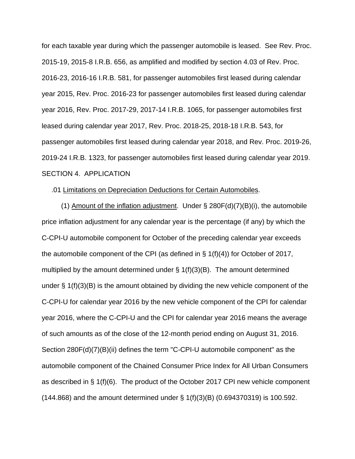for each taxable year during which the passenger automobile is leased. See Rev. Proc. 2015-19, 2015-8 I.R.B. 656, as amplified and modified by section 4.03 of Rev. Proc. 2016-23, 2016-16 I.R.B. 581, for passenger automobiles first leased during calendar year 2015, Rev. Proc. 2016-23 for passenger automobiles first leased during calendar year 2016, Rev. Proc. 2017-29, 2017-14 I.R.B. 1065, for passenger automobiles first leased during calendar year 2017, Rev. Proc. 2018-25, 2018-18 I.R.B. 543, for passenger automobiles first leased during calendar year 2018, and Rev. Proc. 2019-26, 2019-24 I.R.B. 1323, for passenger automobiles first leased during calendar year 2019. SECTION 4. APPLICATION

### .01 Limitations on Depreciation Deductions for Certain Automobiles.

(1) Amount of the inflation adjustment. Under  $\S$  280F(d)(7)(B)(i), the automobile price inflation adjustment for any calendar year is the percentage (if any) by which the C-CPI-U automobile component for October of the preceding calendar year exceeds the automobile component of the CPI (as defined in  $\S 1(f)(4)$ ) for October of 2017, multiplied by the amount determined under  $\S 1(f)(3)(B)$ . The amount determined under  $\S 1(f)(3)(B)$  is the amount obtained by dividing the new vehicle component of the C-CPI-U for calendar year 2016 by the new vehicle component of the CPI for calendar year 2016, where the C-CPI-U and the CPI for calendar year 2016 means the average of such amounts as of the close of the 12-month period ending on August 31, 2016. Section 280F(d)(7)(B)(ii) defines the term "C-CPI-U automobile component" as the automobile component of the Chained Consumer Price Index for All Urban Consumers as described in § 1(f)(6). The product of the October 2017 CPI new vehicle component (144.868) and the amount determined under § 1(f)(3)(B) (0.694370319) is 100.592.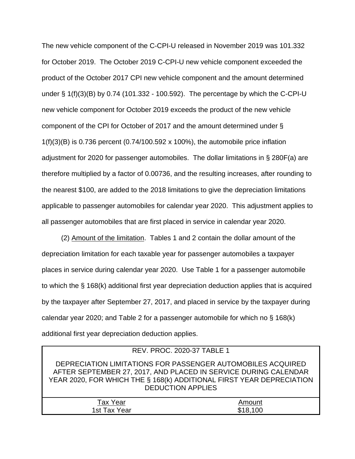The new vehicle component of the C-CPI-U released in November 2019 was 101.332 for October 2019. The October 2019 C-CPI-U new vehicle component exceeded the product of the October 2017 CPI new vehicle component and the amount determined under § 1(f)(3)(B) by 0.74 (101.332 - 100.592). The percentage by which the C-CPI-U new vehicle component for October 2019 exceeds the product of the new vehicle component of the CPI for October of 2017 and the amount determined under §  $1(f)(3)(B)$  is 0.736 percent (0.74/100.592 x 100%), the automobile price inflation adjustment for 2020 for passenger automobiles. The dollar limitations in § 280F(a) are therefore multiplied by a factor of 0.00736, and the resulting increases, after rounding to the nearest \$100, are added to the 2018 limitations to give the depreciation limitations applicable to passenger automobiles for calendar year 2020. This adjustment applies to all passenger automobiles that are first placed in service in calendar year 2020.

 (2) Amount of the limitation. Tables 1 and 2 contain the dollar amount of the depreciation limitation for each taxable year for passenger automobiles a taxpayer places in service during calendar year 2020. Use Table 1 for a passenger automobile to which the § 168(k) additional first year depreciation deduction applies that is acquired by the taxpayer after September 27, 2017, and placed in service by the taxpayer during calendar year 2020; and Table 2 for a passenger automobile for which no § 168(k) additional first year depreciation deduction applies.

| REV. PROC. 2020-37 TABLE 1                                                                                                                                                                                                         |          |  |  |  |  |
|------------------------------------------------------------------------------------------------------------------------------------------------------------------------------------------------------------------------------------|----------|--|--|--|--|
| DEPRECIATION LIMITATIONS FOR PASSENGER AUTOMOBILES ACQUIRED<br>AFTER SEPTEMBER 27, 2017, AND PLACED IN SERVICE DURING CALENDAR<br>YEAR 2020, FOR WHICH THE § 168(k) ADDITIONAL FIRST YEAR DEPRECIATION<br><b>DEDUCTION APPLIES</b> |          |  |  |  |  |
| Tax Year                                                                                                                                                                                                                           | Amount   |  |  |  |  |
| 1st Tax Year                                                                                                                                                                                                                       | \$18,100 |  |  |  |  |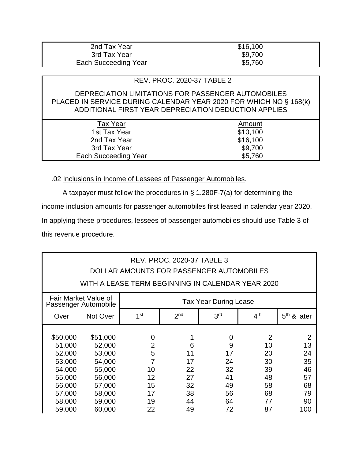| 2nd Tax Year         | \$16,100 |
|----------------------|----------|
| 3rd Tax Year         | \$9,700  |
| Each Succeeding Year | \$5,760  |

## REV. PROC. 2020-37 TABLE 2

### DEPRECIATION LIMITATIONS FOR PASSENGER AUTOMOBILES PLACED IN SERVICE DURING CALENDAR YEAR 2020 FOR WHICH NO § 168(k) ADDITIONAL FIRST YEAR DEPRECIATION DEDUCTION APPLIES

| <b>Tax Year</b>      | Amount   |  |
|----------------------|----------|--|
| 1st Tax Year         | \$10,100 |  |
| 2nd Tax Year         | \$16,100 |  |
| 3rd Tax Year         | \$9,700  |  |
| Each Succeeding Year | \$5,760  |  |
|                      |          |  |

.02 Inclusions in Income of Lessees of Passenger Automobiles.

A taxpayer must follow the procedures in § 1.280F-7(a) for determining the

income inclusion amounts for passenger automobiles first leased in calendar year 2020.

In applying these procedures, lessees of passenger automobiles should use Table 3 of this revenue procedure.

| <b>REV. PROC. 2020-37 TABLE 3</b><br>DOLLAR AMOUNTS FOR PASSENGER AUTOMOBILES |                                              |                                                   |                 |                 |                 |                |
|-------------------------------------------------------------------------------|----------------------------------------------|---------------------------------------------------|-----------------|-----------------|-----------------|----------------|
|                                                                               |                                              | WITH A LEASE TERM BEGINNING IN CALENDAR YEAR 2020 |                 |                 |                 |                |
|                                                                               | Fair Market Value of<br>Passenger Automobile | <b>Tax Year During Lease</b>                      |                 |                 |                 |                |
| Over                                                                          | Not Over                                     | 1 <sup>st</sup>                                   | 2 <sub>nd</sub> | 3 <sup>rd</sup> | 4 <sup>th</sup> | $5th$ & later  |
|                                                                               |                                              |                                                   |                 |                 |                 |                |
| \$50,000                                                                      | \$51,000                                     | 0                                                 |                 | 0               | 2               | $\overline{2}$ |
| 51,000                                                                        | 52,000                                       | $\overline{2}$                                    | 6               | 9               | 10              | 13             |
| 52,000                                                                        | 53,000                                       | 5                                                 | 11              | 17              | 20              | 24             |
| 53,000                                                                        | 54,000                                       | 7                                                 | 17              | 24              | 30              | 35             |
| 54,000                                                                        | 55,000                                       | 10                                                | 22              | 32              | 39              | 46             |
| 55,000                                                                        | 56,000                                       | 12                                                | 27              | 41              | 48              | 57             |
| 56,000                                                                        | 57,000                                       | 15                                                | 32              | 49              | 58              | 68             |
| 57,000                                                                        | 58,000                                       | 17                                                | 38              | 56              | 68              | 79             |
| 58,000                                                                        | 59,000                                       | 19                                                | 44              | 64              | 77              | 90             |
| 59,000                                                                        | 60,000                                       | 22                                                | 49              | 72              | 87              | 100            |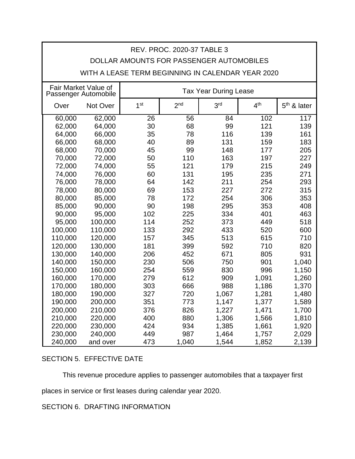| REV. PROC. 2020-37 TABLE 3 |                                                                              |                                                   |                 |                 |                 |               |
|----------------------------|------------------------------------------------------------------------------|---------------------------------------------------|-----------------|-----------------|-----------------|---------------|
|                            |                                                                              | DOLLAR AMOUNTS FOR PASSENGER AUTOMOBILES          |                 |                 |                 |               |
|                            |                                                                              | WITH A LEASE TERM BEGINNING IN CALENDAR YEAR 2020 |                 |                 |                 |               |
|                            | Fair Market Value of<br><b>Tax Year During Lease</b><br>Passenger Automobile |                                                   |                 |                 |                 |               |
| Over                       | Not Over                                                                     | 1 <sup>st</sup>                                   | 2 <sub>nd</sub> | 3 <sup>rd</sup> | 4 <sup>th</sup> | $5th$ & later |
| 60,000                     | 62,000                                                                       | $\overline{26}$                                   | 56              | 84              | 102             | 117           |
| 62,000                     | 64,000                                                                       | 30                                                | 68              | 99              | 121             | 139           |
| 64,000                     | 66,000                                                                       | 35                                                | 78              | 116             | 139             | 161           |
| 66,000                     | 68,000                                                                       | 40                                                | 89              | 131             | 159             | 183           |
| 68,000                     | 70,000                                                                       | 45                                                | 99              | 148             | 177             | 205           |
| 70,000                     | 72,000                                                                       | 50                                                | 110             | 163             | 197             | 227           |
| 72,000                     | 74,000                                                                       | 55                                                | 121             | 179             | 215             | 249           |
| 74,000                     | 76,000                                                                       | 60                                                | 131             | 195             | 235             | 271           |
| 76,000                     | 78,000                                                                       | 64                                                | 142             | 211             | 254             | 293           |
| 78,000                     | 80,000                                                                       | 69                                                | 153             | 227             | 272             | 315           |
| 80,000                     | 85,000                                                                       | 78                                                | 172             | 254             | 306             | 353           |
| 85,000                     | 90,000                                                                       | 90                                                | 198             | 295             | 353             | 408           |
| 90,000                     | 95,000                                                                       | 102                                               | 225             | 334             | 401             | 463           |
| 95,000                     | 100,000                                                                      | 114                                               | 252             | 373             | 449             | 518           |
| 100,000                    | 110,000                                                                      | 133                                               | 292             | 433             | 520             | 600           |
| 110,000                    | 120,000                                                                      | 157                                               | 345             | 513             | 615             | 710           |
| 120,000                    | 130,000                                                                      | 181                                               | 399             | 592             | 710             | 820           |
| 130,000                    | 140,000                                                                      | 206                                               | 452             | 671             | 805             | 931           |
| 140,000                    | 150,000                                                                      | 230                                               | 506             | 750             | 901             | 1,040         |
| 150,000                    | 160,000                                                                      | 254                                               | 559             | 830             | 996             | 1,150         |
| 160,000                    | 170,000                                                                      | 279                                               | 612             | 909             | 1,091           | 1,260         |
| 170,000                    | 180,000                                                                      | 303                                               | 666             | 988             | 1,186           | 1,370         |
| 180,000                    | 190,000                                                                      | 327                                               | 720             | 1,067           | 1,281           | 1,480         |
| 190,000                    | 200,000                                                                      | 351                                               | 773             | 1,147           | 1,377           | 1,589         |
| 200,000                    | 210,000                                                                      | 376                                               | 826             | 1,227           | 1,471           | 1,700         |
| 210,000                    | 220,000                                                                      | 400                                               | 880             | 1,306           | 1,566           | 1,810         |
| 220,000                    | 230,000                                                                      | 424                                               | 934             | 1,385           | 1,661           | 1,920         |
| 230,000                    | 240,000                                                                      | 449                                               | 987             | 1,464           | 1,757           | 2,029         |
| 240,000                    | and over                                                                     | 473                                               | 1,040           | 1,544           | 1,852           | 2,139         |

# SECTION 5. EFFECTIVE DATE

This revenue procedure applies to passenger automobiles that a taxpayer first

places in service or first leases during calendar year 2020.

SECTION 6. DRAFTING INFORMATION